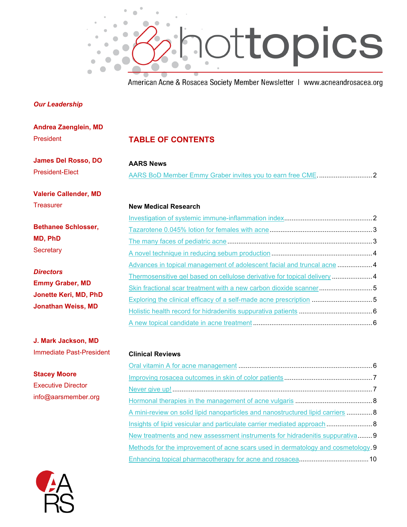

American Acne & Rosacea Society Member Newsletter | www.acneandrosacea.org

[Hormonal therapies in the management of acne vulgaris](#page-7-0) .......................................... 8 [A mini-review on solid lipid nanoparticles and nanostructured lipid carriers](#page-7-1) .............. 8 [Insights of lipid vesicular and particulate carrier mediated approach](#page-7-2) ......................... 8 [New treatments and new assessment instruments for hidradenitis suppurativa.](#page-8-0)....... 9 [Methods for the improvement of acne scars used in dermatology and cosmetology .](#page-8-1) 9 [Enhancing topical pharmacotherapy for acne and rosacea.](#page-9-0).....................................10

#### *Our Leadership*

| Andrea Zaenglein, MD                                                                             |                                                                          |  |
|--------------------------------------------------------------------------------------------------|--------------------------------------------------------------------------|--|
| President                                                                                        | <b>TABLE OF CONTENTS</b>                                                 |  |
| <b>James Del Rosso, DO</b><br><b>President-Elect</b>                                             | <b>AARS News</b>                                                         |  |
|                                                                                                  |                                                                          |  |
| <b>Valerie Callender, MD</b>                                                                     |                                                                          |  |
| <b>Treasurer</b>                                                                                 | <b>New Medical Research</b>                                              |  |
| <b>Bethanee Schlosser,</b><br>MD, PhD<br>Secretary                                               |                                                                          |  |
|                                                                                                  |                                                                          |  |
|                                                                                                  |                                                                          |  |
|                                                                                                  |                                                                          |  |
| <b>Directors</b><br><b>Emmy Graber, MD</b><br>Jonette Keri, MD, PhD<br><b>Jonathan Weiss, MD</b> | Advances in topical management of adolescent facial and truncal acne 4   |  |
|                                                                                                  | Thermosensitive gel based on cellulose derivative for topical delivery 4 |  |
|                                                                                                  | Skin fractional scar treatment with a new carbon dioxide scanner 5       |  |
|                                                                                                  | Exploring the clinical efficacy of a self-made acne prescription 5       |  |
|                                                                                                  |                                                                          |  |
|                                                                                                  |                                                                          |  |
| J. Mark Jackson, MD                                                                              |                                                                          |  |
| <b>Immediate Past-President</b>                                                                  | <b>Clinical Reviews</b>                                                  |  |
| <b>Stacey Moore</b><br><b>Executive Director</b>                                                 |                                                                          |  |
|                                                                                                  |                                                                          |  |
|                                                                                                  |                                                                          |  |

info@aarsmember.org

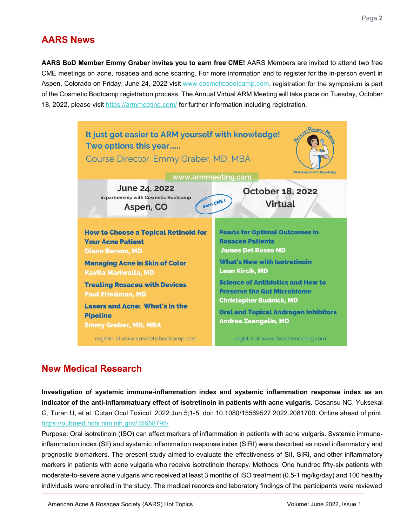## **AARS News**

<span id="page-1-0"></span>**AARS BoD Member Emmy Graber invites you to earn free CME!** AARS Members are invited to attend two free CME meetings on acne, rosacea and acne scarring. For more information and to register for the in-person event in Aspen, Colorado on Friday, June 24, 2022 visit [www.cosmeticbootcamp.com,](http://www.cosmeticbootcamp.com/) registration for the symposium is part of the Cosmetic Bootcamp registration process. The Annual Virtual ARM Meeting will take place on Tuesday, October 18, 2022, please visit<https://armmeeting.com/> for further information including registration.



# **New Medical Research**

<span id="page-1-1"></span>**Investigation of systemic immune-inflammation index and systemic inflammation response index as an indicator of the anti-inflammatuary effect of isotretinoin in patients with acne vulgaris.** Cosansu NC, Yuksekal G, Turan U, et al. Cutan Ocul Toxicol. 2022 Jun 5;1-5. doi: 10.1080/15569527.2022.2081700. Online ahead of print. <https://pubmed.ncbi.nlm.nih.gov/35658795/>

Purpose: Oral isotretinoin (ISO) can effect markers of inflammation in patients with acne vulgaris. Systemic immuneinflammation index (SII) and systemic inflammation response index (SIRI) were described as novel inflammatory and prognostic biomarkers. The present study aimed to evaluate the effectiveness of SII, SIRI, and other inflammatory markers in patients with acne vulgaris who receive isotretinoin therapy. Methods: One hundred fifty-six patients with moderate-to-severe acne vulgaris who received at least 3 months of ISO treatment (0.5-1 mg/kg/day) and 100 healthy individuals were enrolled in the study. The medical records and laboratory findings of the participants were reviewed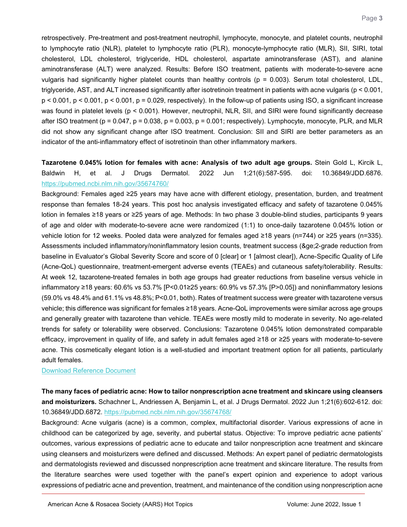retrospectively. Pre-treatment and post-treatment neutrophil, lymphocyte, monocyte, and platelet counts, neutrophil to lymphocyte ratio (NLR), platelet to lymphocyte ratio (PLR), monocyte-lymphocyte ratio (MLR), SII, SIRI, total cholesterol, LDL cholesterol, triglyceride, HDL cholesterol, aspartate aminotransferase (AST), and alanine aminotransferase (ALT) were analyzed. Results: Before ISO treatment, patients with moderate-to-severe acne vulgaris had significantly higher platelet counts than healthy controls (p = 0.003). Serum total cholesterol, LDL, triglyceride, AST, and ALT increased significantly after isotretinoin treatment in patients with acne vulgaris (p < 0.001,  $p < 0.001$ ,  $p < 0.001$ ,  $p < 0.001$ ,  $p = 0.029$ , respectively). In the follow-up of patients using ISO, a significant increase was found in platelet levels (p < 0.001). However, neutrophil, NLR, SII, and SIRI were found significantly decrease after ISO treatment ( $p = 0.047$ ,  $p = 0.038$ ,  $p = 0.003$ ,  $p = 0.001$ ; respectively). Lymphocyte, monocyte, PLR, and MLR did not show any significant change after ISO treatment. Conclusion: SII and SIRI are better parameters as an indicator of the anti-inflammatory effect of isotretinoin than other inflammatory markers.

### <span id="page-2-0"></span>**Tazarotene 0.045% lotion for females with acne: Analysis of two adult age groups.** Stein Gold L, Kircik L, Baldwin H, et al. J Drugs Dermatol. 2022 Jun 1;21(6):587-595. doi: 10.36849/JDD.6876. <https://pubmed.ncbi.nlm.nih.gov/35674760/>

Background: Females aged ≥25 years may have acne with different etiology, presentation, burden, and treatment response than females 18-24 years. This post hoc analysis investigated efficacy and safety of tazarotene 0.045% lotion in females ≥18 years or ≥25 years of age. Methods: In two phase 3 double-blind studies, participants 9 years of age and older with moderate-to-severe acne were randomized (1:1) to once-daily tazarotene 0.045% lotion or vehicle lotion for 12 weeks. Pooled data were analyzed for females aged ≥18 years (n=744) or ≥25 years (n=335). Assessments included inflammatory/noninflammatory lesion counts, treatment success (&qe:2-grade reduction from baseline in Evaluator's Global Severity Score and score of 0 [clear] or 1 [almost clear]), Acne-Specific Quality of Life (Acne-QoL) questionnaire, treatment-emergent adverse events (TEAEs) and cutaneous safety/tolerability. Results: At week 12, tazarotene-treated females in both age groups had greater reductions from baseline versus vehicle in inflammatory ≥18 years: 60.6% vs 53.7% [P<0.01≥25 years: 60.9% vs 57.3% [P>0.05]) and noninflammatory lesions (59.0% vs 48.4% and 61.1% vs 48.8%; P<0.01, both). Rates of treatment success were greater with tazarotene versus vehicle; this difference was significant for females ≥18 years. Acne-QoL improvements were similar across age groups and generally greater with tazarotene than vehicle. TEAEs were mostly mild to moderate in severity. No age-related trends for safety or tolerability were observed. Conclusions: Tazarotene 0.045% lotion demonstrated comparable efficacy, improvement in quality of life, and safety in adult females aged ≥18 or ≥25 years with moderate-to-severe acne. This cosmetically elegant lotion is a well-studied and important treatment option for all patients, particularly adult females.

#### [Download Reference Document](https://files.constantcontact.com/c2fa20d1101/4d3af1a2-2c0c-4ccd-a96b-4fbd400d2335.pdf?rdr=true)

<span id="page-2-1"></span>**The many faces of pediatric acne: How to tailor nonprescription acne treatment and skincare using cleansers and moisturizers.** Schachner L, Andriessen A, Benjamin L, et al. J Drugs Dermatol. 2022 Jun 1;21(6):602-612. doi: 10.36849/JDD.6872.<https://pubmed.ncbi.nlm.nih.gov/35674768/>

Background: Acne vulgaris (acne) is a common, complex, multifactorial disorder. Various expressions of acne in childhood can be categorized by age, severity, and pubertal status. Objective: To improve pediatric acne patients' outcomes, various expressions of pediatric acne to educate and tailor nonprescription acne treatment and skincare using cleansers and moisturizers were defined and discussed. Methods: An expert panel of pediatric dermatologists and dermatologists reviewed and discussed nonprescription acne treatment and skincare literature. The results from the literature searches were used together with the panel's expert opinion and experience to adopt various expressions of pediatric acne and prevention, treatment, and maintenance of the condition using nonprescription acne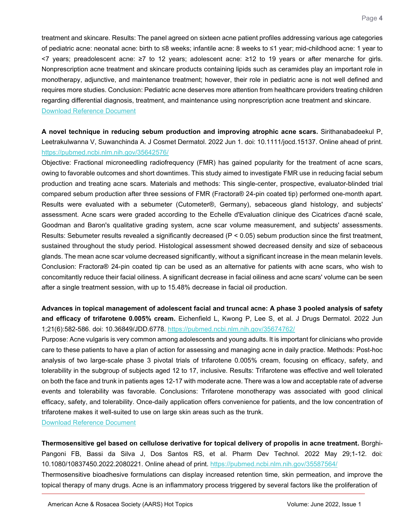treatment and skincare. Results: The panel agreed on sixteen acne patient profiles addressing various age categories of pediatric acne: neonatal acne: birth to ≤8 weeks; infantile acne: 8 weeks to ≤1 year; mid-childhood acne: 1 year to <7 years; preadolescent acne: ≥7 to 12 years; adolescent acne: ≥12 to 19 years or after menarche for girls. Nonprescription acne treatment and skincare products containing lipids such as ceramides play an important role in monotherapy, adjunctive, and maintenance treatment; however, their role in pediatric acne is not well defined and requires more studies. Conclusion: Pediatric acne deserves more attention from healthcare providers treating children regarding differential diagnosis, treatment, and maintenance using nonprescription acne treatment and skincare. [Download Reference Document](https://files.constantcontact.com/c2fa20d1101/13ed0ff3-8fff-48ba-a26f-58d04682e26b.pdf?rdr=true)

<span id="page-3-0"></span>**A novel technique in reducing sebum production and improving atrophic acne scars.** Sirithanabadeekul P, Leetrakulwanna V, Suwanchinda A. J Cosmet Dermatol. 2022 Jun 1. doi: 10.1111/jocd.15137. Online ahead of print. <https://pubmed.ncbi.nlm.nih.gov/35642576/>

Objective: Fractional microneedling radiofrequency (FMR) has gained popularity for the treatment of acne scars, owing to favorable outcomes and short downtimes. This study aimed to investigate FMR use in reducing facial sebum production and treating acne scars. Materials and methods: This single-center, prospective, evaluator-blinded trial compared sebum production after three sessions of FMR (Fractora® 24-pin coated tip) performed one-month apart. Results were evaluated with a sebumeter (Cutometer®, Germany), sebaceous gland histology, and subjects' assessment. Acne scars were graded according to the Echelle d'Evaluation clinique des Cicatrices d'acné scale, Goodman and Baron's qualitative grading system, acne scar volume measurement, and subjects' assessments. Results: Sebumeter results revealed a significantly decreased (P < 0.05) sebum production since the first treatment, sustained throughout the study period. Histological assessment showed decreased density and size of sebaceous glands. The mean acne scar volume decreased significantly, without a significant increase in the mean melanin levels. Conclusion: Fractora® 24-pin coated tip can be used as an alternative for patients with acne scars, who wish to concomitantly reduce their facial oiliness. A significant decrease in facial oiliness and acne scars' volume can be seen after a single treatment session, with up to 15.48% decrease in facial oil production.

<span id="page-3-1"></span>**Advances in topical management of adolescent facial and truncal acne: A phase 3 pooled analysis of safety and efficacy of trifarotene 0.005% cream.** Eichenfield L, Kwong P, Lee S, et al. J Drugs Dermatol. 2022 Jun 1;21(6):582-586. doi: 10.36849/JDD.6778.<https://pubmed.ncbi.nlm.nih.gov/35674762/>

Purpose: Acne vulgaris is very common among adolescents and young adults. It is important for clinicians who provide care to these patients to have a plan of action for assessing and managing acne in daily practice. Methods: Post-hoc analysis of two large-scale phase 3 pivotal trials of trifarotene 0.005% cream, focusing on efficacy, safety, and tolerability in the subgroup of subjects aged 12 to 17, inclusive. Results: Trifarotene was effective and well tolerated on both the face and trunk in patients ages 12-17 with moderate acne. There was a low and acceptable rate of adverse events and tolerability was favorable. Conclusions: Trifarotene monotherapy was associated with good clinical efficacy, safety, and tolerability. Once-daily application offers convenience for patients, and the low concentration of trifarotene makes it well-suited to use on large skin areas such as the trunk.

[Download Reference Document](https://files.constantcontact.com/c2fa20d1101/8f50b0f9-c580-4f97-9d9b-44372709bc4a.pdf?rdr=true)

<span id="page-3-2"></span>**Thermosensitive gel based on cellulose derivative for topical delivery of propolis in acne treatment.** Borghi-Pangoni FB, Bassi da Silva J, Dos Santos RS, et al. Pharm Dev Technol. 2022 May 29;1-12. doi: 10.1080/10837450.2022.2080221. Online ahead of print.<https://pubmed.ncbi.nlm.nih.gov/35587564/> Thermosensitive bioadhesive formulations can display increased retention time, skin permeation, and improve the topical therapy of many drugs. Acne is an inflammatory process triggered by several factors like the proliferation of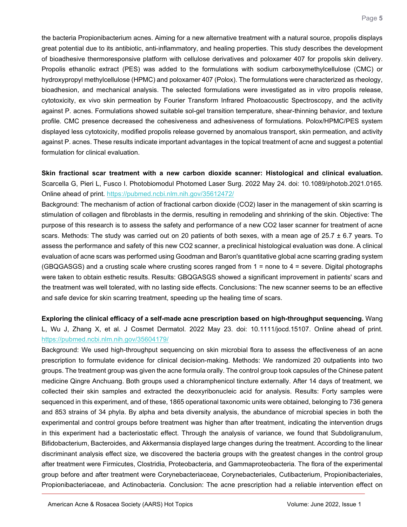the bacteria Propionibacterium acnes. Aiming for a new alternative treatment with a natural source, propolis displays great potential due to its antibiotic, anti-inflammatory, and healing properties. This study describes the development of bioadhesive thermoresponsive platform with cellulose derivatives and poloxamer 407 for propolis skin delivery. Propolis ethanolic extract (PES) was added to the formulations with sodium carboxymethylcellulose (CMC) or hydroxypropyl methylcellulose (HPMC) and poloxamer 407 (Polox). The formulations were characterized as rheology, bioadhesion, and mechanical analysis. The selected formulations were investigated as in vitro propolis release, cytotoxicity, ex vivo skin permeation by Fourier Transform Infrared Photoacoustic Spectroscopy, and the activity against P. acnes. Formulations showed suitable sol-gel transition temperature, shear-thinning behavior, and texture profile. CMC presence decreased the cohesiveness and adhesiveness of formulations. Polox/HPMC/PES system displayed less cytotoxicity, modified propolis release governed by anomalous transport, skin permeation, and activity against P. acnes. These results indicate important advantages in the topical treatment of acne and suggest a potential formulation for clinical evaluation.

<span id="page-4-0"></span>**Skin fractional scar treatment with a new carbon dioxide scanner: Histological and clinical evaluation.** Scarcella G, Pieri L, Fusco I. Photobiomodul Photomed Laser Surg. 2022 May 24. doi: 10.1089/photob.2021.0165. Online ahead of print.<https://pubmed.ncbi.nlm.nih.gov/35612472/>

Background: The mechanism of action of fractional carbon dioxide (CO2) laser in the management of skin scarring is stimulation of collagen and fibroblasts in the dermis, resulting in remodeling and shrinking of the skin. Objective: The purpose of this research is to assess the safety and performance of a new CO2 laser scanner for treatment of acne scars. Methods: The study was carried out on 20 patients of both sexes, with a mean age of  $25.7 \pm 6.7$  years. To assess the performance and safety of this new CO2 scanner, a preclinical histological evaluation was done. A clinical evaluation of acne scars was performed using Goodman and Baron's quantitative global acne scarring grading system (GBQGASGS) and a crusting scale where crusting scores ranged from 1 = none to 4 = severe. Digital photographs were taken to obtain esthetic results. Results: GBQGASGS showed a significant improvement in patients' scars and the treatment was well tolerated, with no lasting side effects. Conclusions: The new scanner seems to be an effective and safe device for skin scarring treatment, speeding up the healing time of scars.

<span id="page-4-1"></span>**Exploring the clinical efficacy of a self-made acne prescription based on high-throughput sequencing.** Wang L, Wu J, Zhang X, et al. J Cosmet Dermatol. 2022 May 23. doi: 10.1111/jocd.15107. Online ahead of print. <https://pubmed.ncbi.nlm.nih.gov/35604179/>

Background: We used high-throughput sequencing on skin microbial flora to assess the effectiveness of an acne prescription to formulate evidence for clinical decision-making. Methods: We randomized 20 outpatients into two groups. The treatment group was given the acne formula orally. The control group took capsules of the Chinese patent medicine Qingre Anchuang. Both groups used a chloramphenicol tincture externally. After 14 days of treatment, we collected their skin samples and extracted the deoxyribonucleic acid for analysis. Results: Forty samples were sequenced in this experiment, and of these, 1865 operational taxonomic units were obtained, belonging to 736 genera and 853 strains of 34 phyla. By alpha and beta diversity analysis, the abundance of microbial species in both the experimental and control groups before treatment was higher than after treatment, indicating the intervention drugs in this experiment had a bacteriostatic effect. Through the analysis of variance, we found that Subdoligranulum, Bifidobacterium, Bacteroides, and Akkermansia displayed large changes during the treatment. According to the linear discriminant analysis effect size, we discovered the bacteria groups with the greatest changes in the control group after treatment were Firmicutes, Clostridia, Proteobacteria, and Gammaproteobacteria. The flora of the experimental group before and after treatment were Corynebacteriaceae, Corynebacteriales, Cutibacterium, Propionibacteriales, Propionibacteriaceae, and Actinobacteria. Conclusion: The acne prescription had a reliable intervention effect on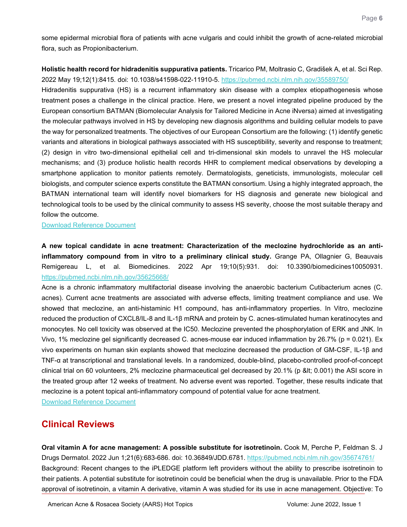some epidermal microbial flora of patients with acne vulgaris and could inhibit the growth of acne-related microbial flora, such as Propionibacterium.

<span id="page-5-0"></span>**Holistic health record for hidradenitis suppurativa patients.** Tricarico PM, Moltrasio C, Gradišek A, et al. Sci Rep. 2022 May 19;12(1):8415. doi: 10.1038/s41598-022-11910-5.<https://pubmed.ncbi.nlm.nih.gov/35589750/>

Hidradenitis suppurativa (HS) is a recurrent inflammatory skin disease with a complex etiopathogenesis whose treatment poses a challenge in the clinical practice. Here, we present a novel integrated pipeline produced by the European consortium BATMAN (Biomolecular Analysis for Tailored Medicine in Acne iNversa) aimed at investigating the molecular pathways involved in HS by developing new diagnosis algorithms and building cellular models to pave the way for personalized treatments. The objectives of our European Consortium are the following: (1) identify genetic variants and alterations in biological pathways associated with HS susceptibility, severity and response to treatment; (2) design in vitro two-dimensional epithelial cell and tri-dimensional skin models to unravel the HS molecular mechanisms; and (3) produce holistic health records HHR to complement medical observations by developing a smartphone application to monitor patients remotely. Dermatologists, geneticists, immunologists, molecular cell biologists, and computer science experts constitute the BATMAN consortium. Using a highly integrated approach, the BATMAN international team will identify novel biomarkers for HS diagnosis and generate new biological and technological tools to be used by the clinical community to assess HS severity, choose the most suitable therapy and follow the outcome.

[Download Reference Document](https://files.constantcontact.com/c2fa20d1101/623697bb-57ac-432a-b94d-71159067c5ce.pdf?rdr=true)

<span id="page-5-1"></span>**A new topical candidate in acne treatment: Characterization of the meclozine hydrochloride as an antiinflammatory compound from in vitro to a preliminary clinical study.** Grange PA, Ollagnier G, Beauvais Remigereau L, et al. Biomedicines. 2022 Apr 19;10(5):931. doi: 10.3390/biomedicines10050931. <https://pubmed.ncbi.nlm.nih.gov/35625668/>

Acne is a chronic inflammatory multifactorial disease involving the anaerobic bacterium Cutibacterium acnes (C. acnes). Current acne treatments are associated with adverse effects, limiting treatment compliance and use. We showed that meclozine, an anti-histaminic H1 compound, has anti-inflammatory properties. In Vitro, meclozine reduced the production of CXCL8/IL-8 and IL-1β mRNA and protein by C. acnes-stimulated human keratinocytes and monocytes. No cell toxicity was observed at the IC50. Meclozine prevented the phosphorylation of ERK and JNK. In Vivo, 1% meclozine gel significantly decreased C. acnes-mouse ear induced inflammation by 26.7% (p = 0.021). Ex vivo experiments on human skin explants showed that meclozine decreased the production of GM-CSF, IL-1β and TNF-α at transcriptional and translational levels. In a randomized, double-blind, placebo-controlled proof-of-concept clinical trial on 60 volunteers, 2% meclozine pharmaceutical gel decreased by 20.1% (p < 0.001) the ASI score in the treated group after 12 weeks of treatment. No adverse event was reported. Together, these results indicate that meclozine is a potent topical anti-inflammatory compound of potential value for acne treatment.

Download [Reference Document](https://files.constantcontact.com/c2fa20d1101/10777bfd-8358-4596-80c9-525462d2c23f.pdf?rdr=true)

### **Clinical Reviews**

<span id="page-5-2"></span>**Oral vitamin A for acne management: A possible substitute for isotretinoin.** Cook M, Perche P, Feldman S. J Drugs Dermatol. 2022 Jun 1;21(6):683-686. doi: 10.36849/JDD.6781.<https://pubmed.ncbi.nlm.nih.gov/35674761/> Background: Recent changes to the iPLEDGE platform left providers without the ability to prescribe isotretinoin to their patients. A potential substitute for isotretinoin could be beneficial when the drug is unavailable. Prior to the FDA approval of isotretinoin, a vitamin A derivative, vitamin A was studied for its use in acne management. Objective: To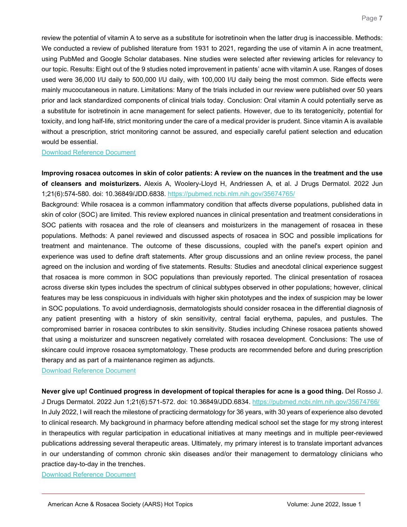review the potential of vitamin A to serve as a substitute for isotretinoin when the latter drug is inaccessible. Methods: We conducted a review of published literature from 1931 to 2021, regarding the use of vitamin A in acne treatment, using PubMed and Google Scholar databases. Nine studies were selected after reviewing articles for relevancy to our topic. Results: Eight out of the 9 studies noted improvement in patients' acne with vitamin A use. Ranges of doses used were 36,000 I/U daily to 500,000 I/U daily, with 100,000 I/U daily being the most common. Side effects were mainly mucocutaneous in nature. Limitations: Many of the trials included in our review were published over 50 years prior and lack standardized components of clinical trials today. Conclusion: Oral vitamin A could potentially serve as a substitute for isotretinoin in acne management for select patients. However, due to its teratogenicity, potential for toxicity, and long half-life, strict monitoring under the care of a medical provider is prudent. Since vitamin A is available without a prescription, strict monitoring cannot be assured, and especially careful patient selection and education would be essential.

[Download Reference Document](https://files.constantcontact.com/c2fa20d1101/d0a25fbf-6e33-4277-bad9-f609937d1e8e.pdf?rdr=true)

<span id="page-6-0"></span>**Improving rosacea outcomes in skin of color patients: A review on the nuances in the treatment and the use of cleansers and moisturizers.** Alexis A, Woolery-Lloyd H, Andriessen A, et al. J Drugs Dermatol. 2022 Jun 1;21(6):574-580. doi: 10.36849/JDD.6838.<https://pubmed.ncbi.nlm.nih.gov/35674765/>

Background: While rosacea is a common inflammatory condition that affects diverse populations, published data in skin of color (SOC) are limited. This review explored nuances in clinical presentation and treatment considerations in SOC patients with rosacea and the role of cleansers and moisturizers in the management of rosacea in these populations. Methods: A panel reviewed and discussed aspects of rosacea in SOC and possible implications for treatment and maintenance. The outcome of these discussions, coupled with the panel's expert opinion and experience was used to define draft statements. After group discussions and an online review process, the panel agreed on the inclusion and wording of five statements. Results: Studies and anecdotal clinical experience suggest that rosacea is more common in SOC populations than previously reported. The clinical presentation of rosacea across diverse skin types includes the spectrum of clinical subtypes observed in other populations; however, clinical features may be less conspicuous in individuals with higher skin phototypes and the index of suspicion may be lower in SOC populations. To avoid underdiagnosis, dermatologists should consider rosacea in the differential diagnosis of any patient presenting with a history of skin sensitivity, central facial erythema, papules, and pustules. The compromised barrier in rosacea contributes to skin sensitivity. Studies including Chinese rosacea patients showed that using a moisturizer and sunscreen negatively correlated with rosacea development. Conclusions: The use of skincare could improve rosacea symptomatology. These products are recommended before and during prescription therapy and as part of a maintenance regimen as adjuncts.

[Download Reference Document](https://files.constantcontact.com/c2fa20d1101/f9908efb-d08c-4fcc-a0ce-2e4a4a5b916a.pdf?rdr=true)

<span id="page-6-1"></span>**Never give up! Continued progress in development of topical therapies for acne is a good thing.** Del Rosso J. J Drugs Dermatol. 2022 Jun 1;21(6):571-572. doi: 10.36849/JDD.6834.<https://pubmed.ncbi.nlm.nih.gov/35674766/> In July 2022, I will reach the milestone of practicing dermatology for 36 years, with 30 years of experience also devoted to clinical research. My background in pharmacy before attending medical school set the stage for my strong interest in therapeutics with regular participation in educational initiatives at many meetings and in multiple peer-reviewed publications addressing several therapeutic areas. Ultimately, my primary interest is to translate important advances in our understanding of common chronic skin diseases and/or their management to dermatology clinicians who practice day-to-day in the trenches.

[Download Reference Document](https://files.constantcontact.com/c2fa20d1101/ddd2c187-1093-46e5-b869-700065476041.pdf?rdr=true)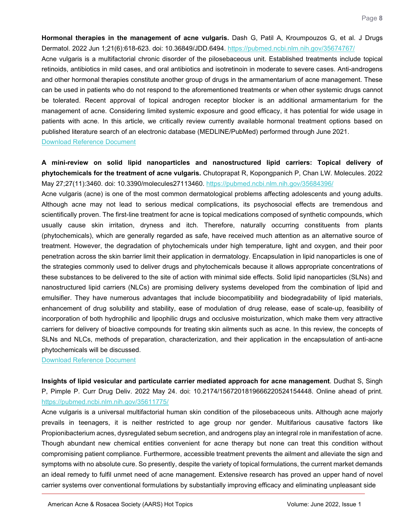<span id="page-7-0"></span>**Hormonal therapies in the management of acne vulgaris.** Dash G, Patil A, Kroumpouzos G, et al. J Drugs Dermatol. 2022 Jun 1;21(6):618-623. doi: 10.36849/JDD.6494.<https://pubmed.ncbi.nlm.nih.gov/35674767/>

Acne vulgaris is a multifactorial chronic disorder of the pilosebaceous unit. Established treatments include topical retinoids, antibiotics in mild cases, and oral antibiotics and isotretinoin in moderate to severe cases. Anti-androgens and other hormonal therapies constitute another group of drugs in the armamentarium of acne management. These can be used in patients who do not respond to the aforementioned treatments or when other systemic drugs cannot be tolerated. Recent approval of topical androgen receptor blocker is an additional armamentarium for the management of acne. Considering limited systemic exposure and good efficacy, it has potential for wide usage in patients with acne. In this article, we critically review currently available hormonal treatment options based on published literature search of an electronic database (MEDLINE/PubMed) performed through June 2021.

[Download Reference Document](https://files.constantcontact.com/c2fa20d1101/d503bab1-069d-4721-8043-a7da8843f003.pdf?rdr=true)

<span id="page-7-1"></span>**A mini-review on solid lipid nanoparticles and nanostructured lipid carriers: Topical delivery of phytochemicals for the treatment of acne vulgaris.** Chutoprapat R, Kopongpanich P, Chan LW. Molecules. 2022 May 27;27(11):3460. doi: 10.3390/molecules27113460.<https://pubmed.ncbi.nlm.nih.gov/35684396/>

Acne vulgaris (acne) is one of the most common dermatological problems affecting adolescents and young adults. Although acne may not lead to serious medical complications, its psychosocial effects are tremendous and scientifically proven. The first-line treatment for acne is topical medications composed of synthetic compounds, which usually cause skin irritation, dryness and itch. Therefore, naturally occurring constituents from plants (phytochemicals), which are generally regarded as safe, have received much attention as an alternative source of treatment. However, the degradation of phytochemicals under high temperature, light and oxygen, and their poor penetration across the skin barrier limit their application in dermatology. Encapsulation in lipid nanoparticles is one of the strategies commonly used to deliver drugs and phytochemicals because it allows appropriate concentrations of these substances to be delivered to the site of action with minimal side effects. Solid lipid nanoparticles (SLNs) and nanostructured lipid carriers (NLCs) are promising delivery systems developed from the combination of lipid and emulsifier. They have numerous advantages that include biocompatibility and biodegradability of lipid materials, enhancement of drug solubility and stability, ease of modulation of drug release, ease of scale-up, feasibility of incorporation of both hydrophilic and lipophilic drugs and occlusive moisturization, which make them very attractive carriers for delivery of bioactive compounds for treating skin ailments such as acne. In this review, the concepts of SLNs and NLCs, methods of preparation, characterization, and their application in the encapsulation of anti-acne phytochemicals will be discussed.

[Download Reference Document](https://files.constantcontact.com/c2fa20d1101/dd90e83e-b281-49f1-81ce-30b409d835d5.pdf?rdr=true)

<span id="page-7-2"></span>**Insights of lipid vesicular and particulate carrier mediated approach for acne management**. Dudhat S, Singh P, Pimple P. Curr Drug Deliv. 2022 May 24. doi: 10.2174/1567201819666220524154448. Online ahead of print. <https://pubmed.ncbi.nlm.nih.gov/35611775/>

Acne vulgaris is a universal multifactorial human skin condition of the pilosebaceous units. Although acne majorly prevails in teenagers, it is neither restricted to age group nor gender. Multifarious causative factors like Propionibacterium acnes, dysregulated sebum secretion, and androgens play an integral role in manifestation of acne. Though abundant new chemical entities convenient for acne therapy but none can treat this condition without compromising patient compliance. Furthermore, accessible treatment prevents the ailment and alleviate the sign and symptoms with no absolute cure. So presently, despite the variety of topical formulations, the current market demands an ideal remedy to fulfil unmet need of acne management. Extensive research has proved an upper hand of novel carrier systems over conventional formulations by substantially improving efficacy and eliminating unpleasant side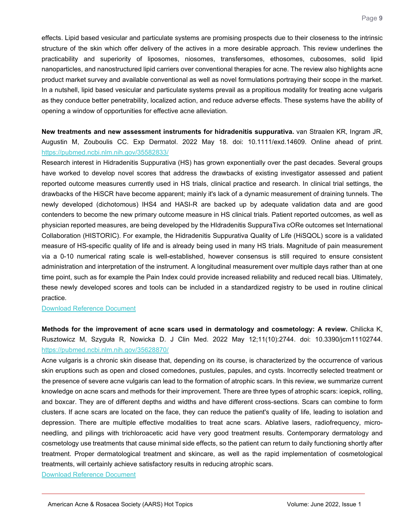effects. Lipid based vesicular and particulate systems are promising prospects due to their closeness to the intrinsic structure of the skin which offer delivery of the actives in a more desirable approach. This review underlines the practicability and superiority of liposomes, niosomes, transfersomes, ethosomes, cubosomes, solid lipid nanoparticles, and nanostructured lipid carriers over conventional therapies for acne. The review also highlights acne product market survey and available conventional as well as novel formulations portraying their scope in the market. In a nutshell, lipid based vesicular and particulate systems prevail as a propitious modality for treating acne vulgaris as they conduce better penetrability, localized action, and reduce adverse effects. These systems have the ability of opening a window of opportunities for effective acne alleviation.

<span id="page-8-0"></span>**New treatments and new assessment instruments for hidradenitis suppurativa.** van Straalen KR, Ingram JR, Augustin M, Zouboulis CC. Exp Dermatol. 2022 May 18. doi: 10.1111/exd.14609. Online ahead of print. <https://pubmed.ncbi.nlm.nih.gov/35582833/>

Research interest in Hidradenitis Suppurativa (HS) has grown exponentially over the past decades. Several groups have worked to develop novel scores that address the drawbacks of existing investigator assessed and patient reported outcome measures currently used in HS trials, clinical practice and research. In clinical trial settings, the drawbacks of the HiSCR have become apparent; mainly it's lack of a dynamic measurement of draining tunnels. The newly developed (dichotomous) IHS4 and HASI-R are backed up by adequate validation data and are good contenders to become the new primary outcome measure in HS clinical trials. Patient reported outcomes, as well as physician reported measures, are being developed by the HIdradenitis SuppuraTiva cORe outcomes set International Collaboration (HISTORIC). For example, the Hidradenitis Suppurativa Quality of Life (HiSQOL) score is a validated measure of HS-specific quality of life and is already being used in many HS trials. Magnitude of pain measurement via a 0-10 numerical rating scale is well-established, however consensus is still required to ensure consistent administration and interpretation of the instrument. A longitudinal measurement over multiple days rather than at one time point, such as for example the Pain Index could provide increased reliability and reduced recall bias. Ultimately, these newly developed scores and tools can be included in a standardized registry to be used in routine clinical practice.

[Download Reference Document](https://files.constantcontact.com/c2fa20d1101/6640f7b0-d6ba-4b44-99f2-9bf264c6ffae.pdf?rdr=true)

<span id="page-8-1"></span>**Methods for the improvement of acne scars used in dermatology and cosmetology: A review.** Chilicka K, Rusztowicz M, Szyguła R, Nowicka D. J Clin Med. 2022 May 12;11(10):2744. doi: 10.3390/jcm11102744. <https://pubmed.ncbi.nlm.nih.gov/35628870/>

Acne vulgaris is a chronic skin disease that, depending on its course, is characterized by the occurrence of various skin eruptions such as open and closed comedones, pustules, papules, and cysts. Incorrectly selected treatment or the presence of severe acne vulgaris can lead to the formation of atrophic scars. In this review, we summarize current knowledge on acne scars and methods for their improvement. There are three types of atrophic scars: icepick, rolling, and boxcar. They are of different depths and widths and have different cross-sections. Scars can combine to form clusters. If acne scars are located on the face, they can reduce the patient's quality of life, leading to isolation and depression. There are multiple effective modalities to treat acne scars. Ablative lasers, radiofrequency, microneedling, and pilings with trichloroacetic acid have very good treatment results. Contemporary dermatology and cosmetology use treatments that cause minimal side effects, so the patient can return to daily functioning shortly after treatment. Proper dermatological treatment and skincare, as well as the rapid implementation of cosmetological treatments, will certainly achieve satisfactory results in reducing atrophic scars.

[Download Reference Document](https://files.constantcontact.com/c2fa20d1101/2cf1daea-433c-46b4-a027-4bdd3559238a.pdf?rdr=true)